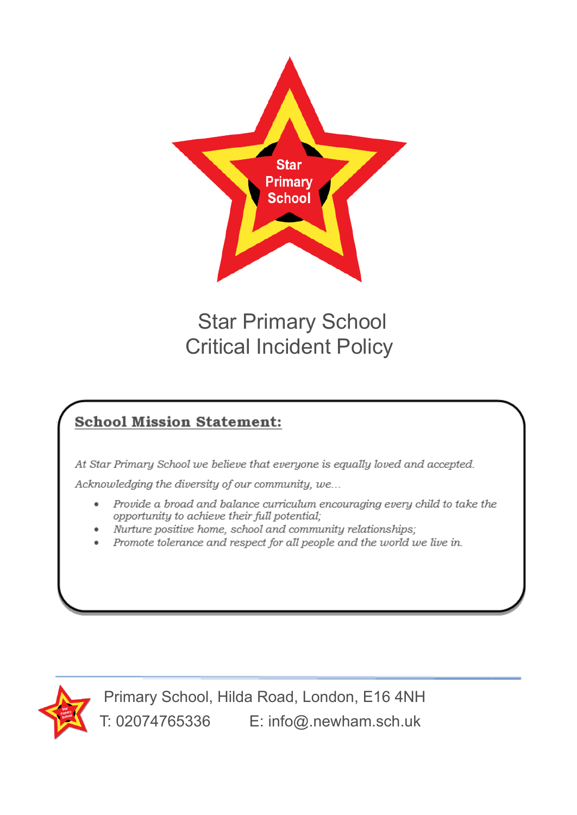

# Star Primary School Critical Incident Policy

### **School Mission Statement:**

At Star Primary School we believe that everyone is equally loved and accepted.

Acknowledging the diversity of our community, we...

- Provide a broad and balance curriculum encouraging every child to take the opportunity to achieve their full potential;
- Nurture positive home, school and community relationships;
- Promote tolerance and respect for all people and the world we live in.



Primary School, Hilda Road, London, E16 4NH T: 02074765336 E: info@.newham.sch.uk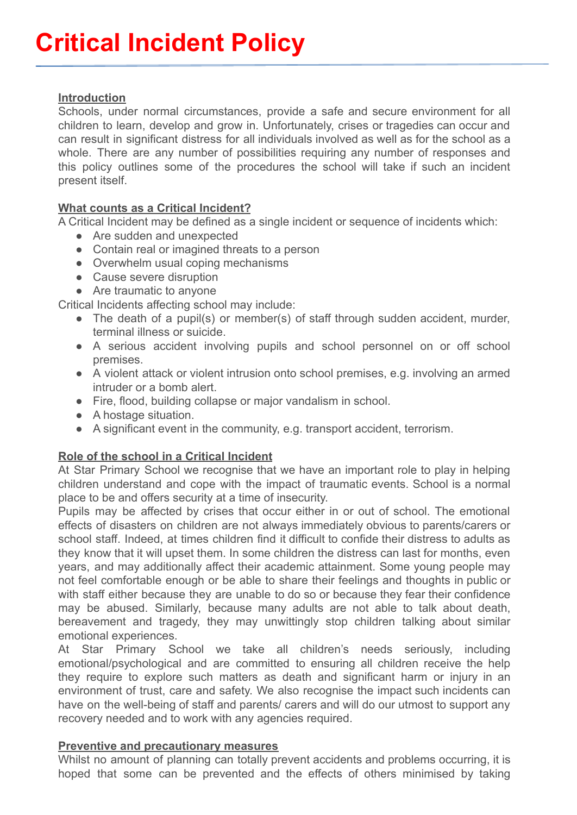#### **Introduction**

Schools, under normal circumstances, provide a safe and secure environment for all children to learn, develop and grow in. Unfortunately, crises or tragedies can occur and can result in significant distress for all individuals involved as well as for the school as a whole. There are any number of possibilities requiring any number of responses and this policy outlines some of the procedures the school will take if such an incident present itself.

#### **What counts as a Critical Incident?**

A Critical Incident may be defined as a single incident or sequence of incidents which:

- Are sudden and unexpected
- Contain real or imagined threats to a person
- Overwhelm usual coping mechanisms
- Cause severe disruption
- Are traumatic to anyone

Critical Incidents affecting school may include:

- The death of a pupil(s) or member(s) of staff through sudden accident, murder, terminal illness or suicide.
- A serious accident involving pupils and school personnel on or off school premises.
- A violent attack or violent intrusion onto school premises, e.g. involving an armed intruder or a bomb alert.
- Fire, flood, building collapse or major vandalism in school.
- A hostage situation.
- A significant event in the community, e.g. transport accident, terrorism.

#### **Role of the school in a Critical Incident**

At Star Primary School we recognise that we have an important role to play in helping children understand and cope with the impact of traumatic events. School is a normal place to be and offers security at a time of insecurity.

Pupils may be affected by crises that occur either in or out of school. The emotional effects of disasters on children are not always immediately obvious to parents/carers or school staff. Indeed, at times children find it difficult to confide their distress to adults as they know that it will upset them. In some children the distress can last for months, even years, and may additionally affect their academic attainment. Some young people may not feel comfortable enough or be able to share their feelings and thoughts in public or with staff either because they are unable to do so or because they fear their confidence may be abused. Similarly, because many adults are not able to talk about death, bereavement and tragedy, they may unwittingly stop children talking about similar emotional experiences.

At Star Primary School we take all children's needs seriously, including emotional/psychological and are committed to ensuring all children receive the help they require to explore such matters as death and significant harm or injury in an environment of trust, care and safety. We also recognise the impact such incidents can have on the well-being of staff and parents/ carers and will do our utmost to support any recovery needed and to work with any agencies required.

#### **Preventive and precautionary measures**

Whilst no amount of planning can totally prevent accidents and problems occurring, it is hoped that some can be prevented and the effects of others minimised by taking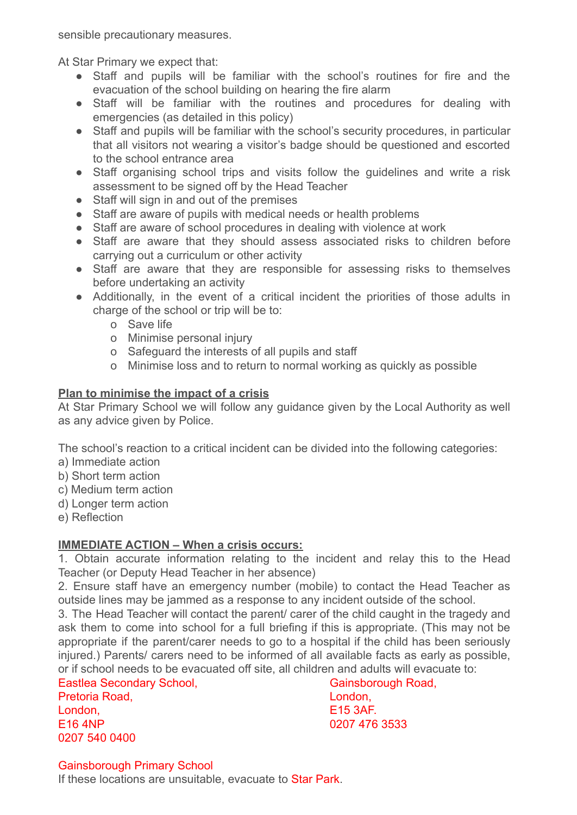sensible precautionary measures.

At Star Primary we expect that:

- Staff and pupils will be familiar with the school's routines for fire and the evacuation of the school building on hearing the fire alarm
- Staff will be familiar with the routines and procedures for dealing with emergencies (as detailed in this policy)
- Staff and pupils will be familiar with the school's security procedures, in particular that all visitors not wearing a visitor's badge should be questioned and escorted to the school entrance area
- Staff organising school trips and visits follow the guidelines and write a risk assessment to be signed off by the Head Teacher
- Staff will sign in and out of the premises
- Staff are aware of pupils with medical needs or health problems
- Staff are aware of school procedures in dealing with violence at work
- Staff are aware that they should assess associated risks to children before carrying out a curriculum or other activity
- Staff are aware that they are responsible for assessing risks to themselves before undertaking an activity
- Additionally, in the event of a critical incident the priorities of those adults in charge of the school or trip will be to:
	- o Save life
	- o Minimise personal injury
	- o Safeguard the interests of all pupils and staff
	- o Minimise loss and to return to normal working as quickly as possible

#### **Plan to minimise the impact of a crisis**

At Star Primary School we will follow any guidance given by the Local Authority as well as any advice given by Police.

The school's reaction to a critical incident can be divided into the following categories:

- a) Immediate action
- b) Short term action
- c) Medium term action
- d) Longer term action
- e) Reflection

#### **IMMEDIATE ACTION – When a crisis occurs:**

1. Obtain accurate information relating to the incident and relay this to the Head Teacher (or Deputy Head Teacher in her absence)

2. Ensure staff have an emergency number (mobile) to contact the Head Teacher as outside lines may be jammed as a response to any incident outside of the school.

3. The Head Teacher will contact the parent/ carer of the child caught in the tragedy and ask them to come into school for a full briefing if this is appropriate. (This may not be appropriate if the parent/carer needs to go to a hospital if the child has been seriously injured.) Parents/ carers need to be informed of all available facts as early as possible, or if school needs to be evacuated off site, all children and adults will evacuate to: n Jonoor.c.<br>often Secondary School,

| Eastlea Secondary 3 |
|---------------------|
|                     |
|                     |
|                     |
|                     |
|                     |

Gainsborough Road, London, E15 3AF. 0207 476 3533

#### Gainsborough Primary School

If these locations are unsuitable, evacuate to Star Park.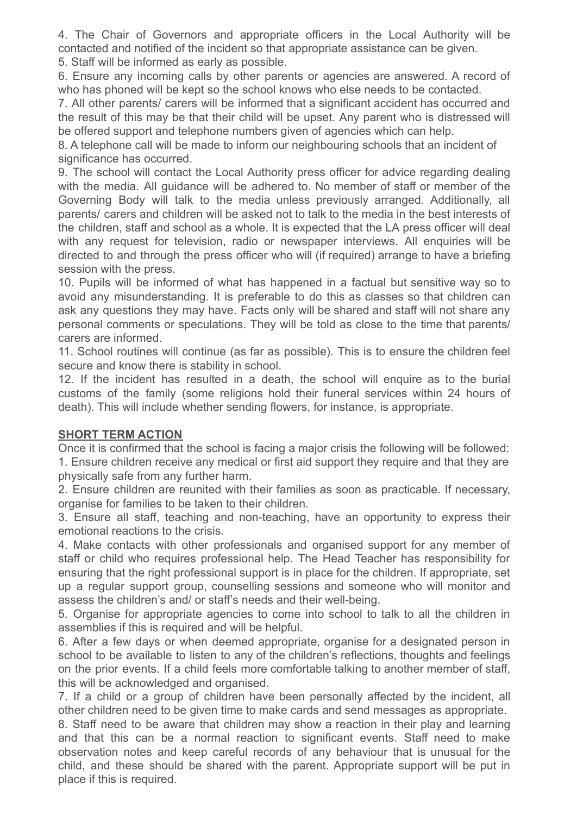4. The Chair of Governors and appropriate officers in the Local Authority will be contacted and notified of the incident so that appropriate assistance can be given. 5. Staff will be informed as early as possible.

6. Ensure any incoming calls by other parents or agencies are answered. A record of who has phoned will be kept so the school knows who else needs to be contacted.

7. All other parents/ carers will be informed that a significant accident has occurred and the result of this may be that their child will be upset. Any parent who is distressed will be offered support and telephone numbers given of agencies which can help.

8. A telephone call will be made to inform our neighbouring schools that an incident of significance has occurred.

9. The school will contact the Local Authority press officer for advice regarding dealing with the media. All guidance will be adhered to. No member of staff or member of the Governing Body will talk to the media unless previously arranged. Additionally, all parents/ carers and children will be asked not to talk to the media in the best interests of the children, staff and school as a whole. It is expected that the LA press officer will deal with any request for television, radio or newspaper interviews. All enquiries will be directed to and through the press officer who will (if required) arrange to have a briefing session with the press.

10. Pupils will be informed of what has happened in a factual but sensitive way so to avoid any misunderstanding. It is preferable to do this as classes so that children can ask any questions they may have. Facts only will be shared and staff will not share any personal comments or speculations. They will be told as close to the time that parents/ carers are informed.

11. School routines will continue (as far as possible). This is to ensure the children feel secure and know there is stability in school.

12. If the incident has resulted in a death, the school will enquire as to the burial customs of the family (some religions hold their funeral services within 24 hours of death). This will include whether sending flowers, for instance, is appropriate.

#### **SHORT TERM ACTION**

Once it is confirmed that the school is facing a major crisis the following will be followed: 1. Ensure children receive any medical or first aid support they require and that they are physically safe from any further harm.

2. Ensure children are reunited with their families as soon as practicable. If necessary, organise for families to be taken to their children.

3. Ensure all staff, teaching and non-teaching, have an opportunity to express their emotional reactions to the crisis.

4. Make contacts with other professionals and organised support for any member of staff or child who requires professional help. The Head Teacher has responsibility for ensuring that the right professional support is in place for the children. If appropriate, set up a regular support group, counselling sessions and someone who will monitor and assess the children's and/ or staff's needs and their well-being.

5. Organise for appropriate agencies to come into school to talk to all the children in assemblies if this is required and will be helpful.

6. After a few days or when deemed appropriate, organise for a designated person in school to be available to listen to any of the children's reflections, thoughts and feelings on the prior events. If a child feels more comfortable talking to another member of staff, this will be acknowledged and organised.

7. If a child or a group of children have been personally affected by the incident, all other children need to be given time to make cards and send messages as appropriate.

8. Staff need to be aware that children may show a reaction in their play and learning and that this can be a normal reaction to significant events. Staff need to make observation notes and keep careful records of any behaviour that is unusual for the child, and these should be shared with the parent. Appropriate support will be put in place if this is required.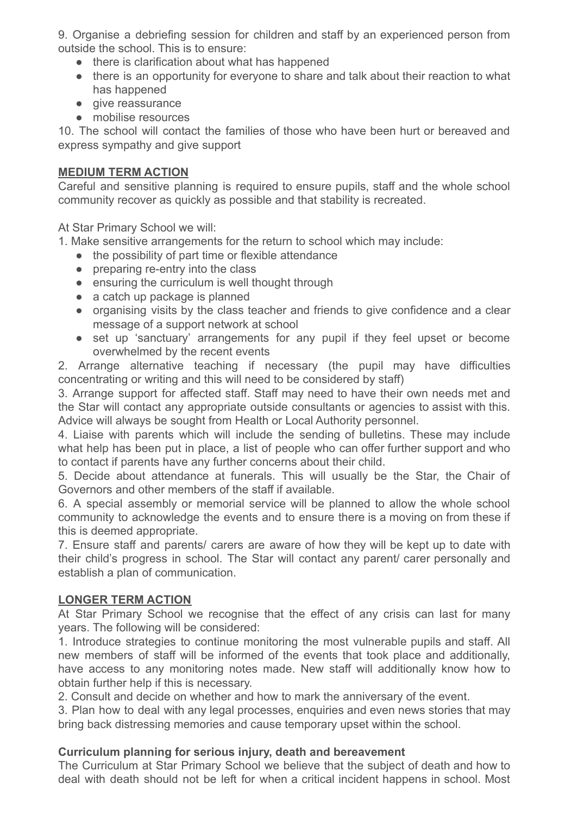9. Organise a debriefing session for children and staff by an experienced person from outside the school. This is to ensure:

- there is clarification about what has happened
- there is an opportunity for everyone to share and talk about their reaction to what has happened
- give reassurance
- mobilise resources

10. The school will contact the families of those who have been hurt or bereaved and express sympathy and give support

#### **MEDIUM TERM ACTION**

Careful and sensitive planning is required to ensure pupils, staff and the whole school community recover as quickly as possible and that stability is recreated.

At Star Primary School we will:

1. Make sensitive arrangements for the return to school which may include:

- the possibility of part time or flexible attendance
- preparing re-entry into the class
- ensuring the curriculum is well thought through
- a catch up package is planned
- organising visits by the class teacher and friends to give confidence and a clear message of a support network at school
- set up 'sanctuary' arrangements for any pupil if they feel upset or become overwhelmed by the recent events

2. Arrange alternative teaching if necessary (the pupil may have difficulties concentrating or writing and this will need to be considered by staff)

3. Arrange support for affected staff. Staff may need to have their own needs met and the Star will contact any appropriate outside consultants or agencies to assist with this. Advice will always be sought from Health or Local Authority personnel.

4. Liaise with parents which will include the sending of bulletins. These may include what help has been put in place, a list of people who can offer further support and who to contact if parents have any further concerns about their child.

5. Decide about attendance at funerals. This will usually be the Star, the Chair of Governors and other members of the staff if available.

6. A special assembly or memorial service will be planned to allow the whole school community to acknowledge the events and to ensure there is a moving on from these if this is deemed appropriate.

7. Ensure staff and parents/ carers are aware of how they will be kept up to date with their child's progress in school. The Star will contact any parent/ carer personally and establish a plan of communication.

#### **LONGER TERM ACTION**

At Star Primary School we recognise that the effect of any crisis can last for many years. The following will be considered:

1. Introduce strategies to continue monitoring the most vulnerable pupils and staff. All new members of staff will be informed of the events that took place and additionally, have access to any monitoring notes made. New staff will additionally know how to obtain further help if this is necessary.

2. Consult and decide on whether and how to mark the anniversary of the event.

3. Plan how to deal with any legal processes, enquiries and even news stories that may bring back distressing memories and cause temporary upset within the school.

#### **Curriculum planning for serious injury, death and bereavement**

The Curriculum at Star Primary School we believe that the subject of death and how to deal with death should not be left for when a critical incident happens in school. Most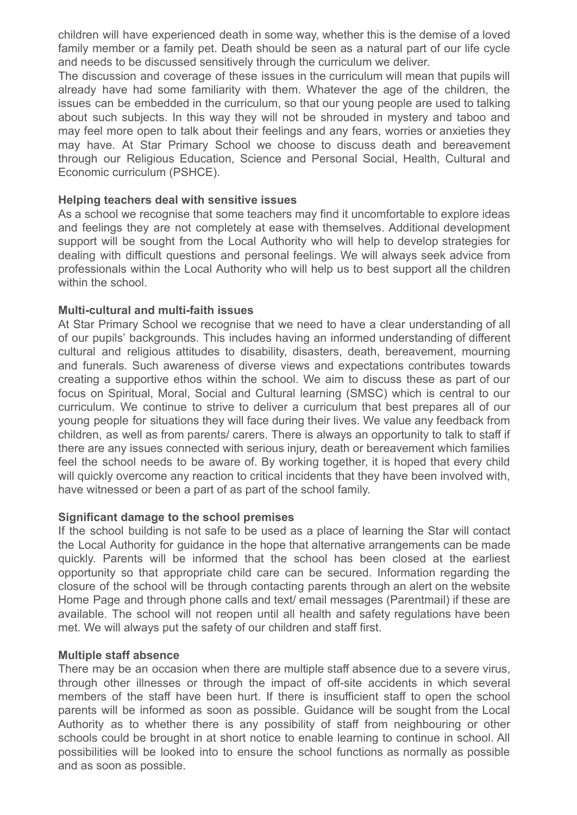children will have experienced death in some way, whether this is the demise of a loved family member or a family pet. Death should be seen as a natural part of our life cycle and needs to be discussed sensitively through the curriculum we deliver.

The discussion and coverage of these issues in the curriculum will mean that pupils will already have had some familiarity with them. Whatever the age of the children, the issues can be embedded in the curriculum, so that our young people are used to talking about such subjects. In this way they will not be shrouded in mystery and taboo and may feel more open to talk about their feelings and any fears, worries or anxieties they may have. At Star Primary School we choose to discuss death and bereavement through our Religious Education, Science and Personal Social, Health, Cultural and Economic curriculum (PSHCE).

#### **Helping teachers deal with sensitive issues**

As a school we recognise that some teachers may find it uncomfortable to explore ideas and feelings they are not completely at ease with themselves. Additional development support will be sought from the Local Authority who will help to develop strategies for dealing with difficult questions and personal feelings. We will always seek advice from professionals within the Local Authority who will help us to best support all the children within the school.

#### **Multi-cultural and multi-faith issues**

At Star Primary School we recognise that we need to have a clear understanding of all of our pupils' backgrounds. This includes having an informed understanding of different cultural and religious attitudes to disability, disasters, death, bereavement, mourning and funerals. Such awareness of diverse views and expectations contributes towards creating a supportive ethos within the school. We aim to discuss these as part of our focus on Spiritual, Moral, Social and Cultural learning (SMSC) which is central to our curriculum. We continue to strive to deliver a curriculum that best prepares all of our young people for situations they will face during their lives. We value any feedback from children, as well as from parents/ carers. There is always an opportunity to talk to staff if there are any issues connected with serious injury, death or bereavement which families feel the school needs to be aware of. By working together, it is hoped that every child will quickly overcome any reaction to critical incidents that they have been involved with, have witnessed or been a part of as part of the school family.

#### **Significant damage to the school premises**

If the school building is not safe to be used as a place of learning the Star will contact the Local Authority for guidance in the hope that alternative arrangements can be made quickly. Parents will be informed that the school has been closed at the earliest opportunity so that appropriate child care can be secured. Information regarding the closure of the school will be through contacting parents through an alert on the website Home Page and through phone calls and text/ email messages (Parentmail) if these are available. The school will not reopen until all health and safety regulations have been met. We will always put the safety of our children and staff first.

#### **Multiple staff absence**

There may be an occasion when there are multiple staff absence due to a severe virus, through other illnesses or through the impact of off-site accidents in which several members of the staff have been hurt. If there is insufficient staff to open the school parents will be informed as soon as possible. Guidance will be sought from the Local Authority as to whether there is any possibility of staff from neighbouring or other schools could be brought in at short notice to enable learning to continue in school. All possibilities will be looked into to ensure the school functions as normally as possible and as soon as possible.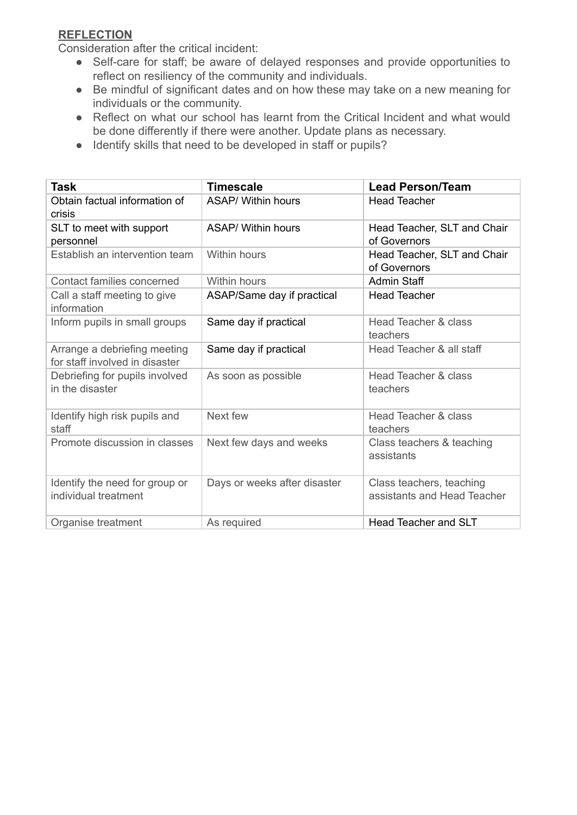#### **REFLECTION**

Consideration after the critical incident:

- Self-care for staff; be aware of delayed responses and provide opportunities to reflect on resiliency of the community and individuals.
- Be mindful of significant dates and on how these may take on a new meaning for individuals or the community.
- Reflect on what our school has learnt from the Critical Incident and what would be done differently if there were another. Update plans as necessary.
- Identify skills that need to be developed in staff or pupils?

| Task                                                           | Timescale                    | <b>Lead Person/Team</b>                                 |
|----------------------------------------------------------------|------------------------------|---------------------------------------------------------|
| Obtain factual information of<br>crisis                        | <b>ASAP/ Within hours</b>    | <b>Head Teacher</b>                                     |
| SLT to meet with support<br>personnel                          | ASAP/ Within hours           | Head Teacher, SLT and Chair<br>of Governors             |
| Establish an intervention team                                 | Within hours                 | Head Teacher, SLT and Chair<br>of Governors             |
| Contact families concerned                                     | <b>Within hours</b>          | <b>Admin Staff</b>                                      |
| Call a staff meeting to give<br>information                    | ASAP/Same day if practical   | <b>Head Teacher</b>                                     |
| Inform pupils in small groups                                  | Same day if practical        | <b>Head Teacher &amp; class</b><br>teachers             |
| Arrange a debriefing meeting<br>for staff involved in disaster | Same day if practical        | Head Teacher & all staff                                |
| Debriefing for pupils involved<br>in the disaster              | As soon as possible          | <b>Head Teacher &amp; class</b><br>teachers             |
| Identify high risk pupils and<br>staff                         | Next few                     | <b>Head Teacher &amp; class</b><br>teachers             |
| Promote discussion in classes                                  | Next few days and weeks      | Class teachers & teaching<br>assistants                 |
| Identify the need for group or<br>individual treatment         | Days or weeks after disaster | Class teachers, teaching<br>assistants and Head Teacher |
| Organise treatment                                             | As required                  | <b>Head Teacher and SLT</b>                             |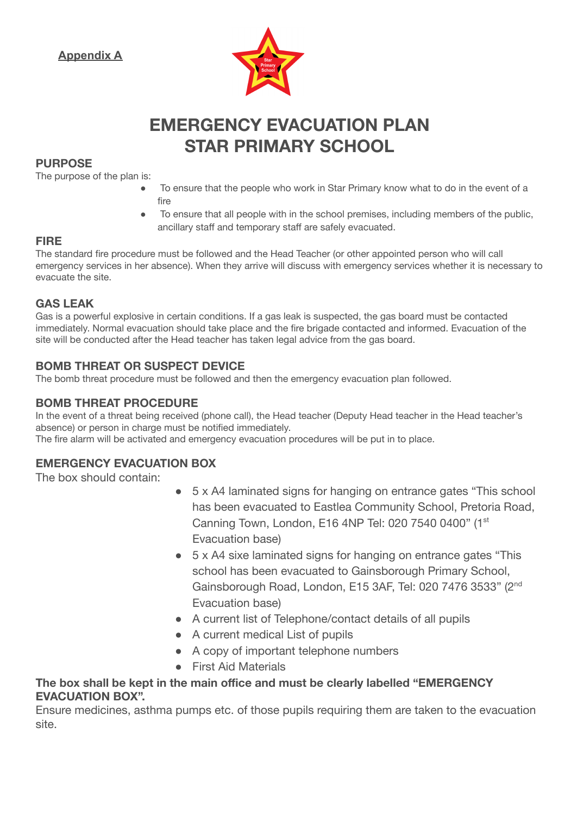

## **EMERGENCY EVACUATION PLAN STAR PRIMARY SCHOOL**

#### **PURPOSE**

The purpose of the plan is:

- To ensure that the people who work in Star Primary know what to do in the event of a fire
- To ensure that all people with in the school premises, including members of the public, ancillary staff and temporary staff are safely evacuated.

#### **FIRE**

The standard fire procedure must be followed and the Head Teacher (or other appointed person who will call emergency services in her absence). When they arrive will discuss with emergency services whether it is necessary to evacuate the site.

#### **GAS LEAK**

Gas is a powerful explosive in certain conditions. If a gas leak is suspected, the gas board must be contacted immediately. Normal evacuation should take place and the fire brigade contacted and informed. Evacuation of the site will be conducted after the Head teacher has taken legal advice from the gas board.

#### **BOMB THREAT OR SUSPECT DEVICE**

The bomb threat procedure must be followed and then the emergency evacuation plan followed.

#### **BOMB THREAT PROCEDURE**

In the event of a threat being received (phone call), the Head teacher (Deputy Head teacher in the Head teacher's absence) or person in charge must be notified immediately.

The fire alarm will be activated and emergency evacuation procedures will be put in to place.

#### **EMERGENCY EVACUATION BOX**

The box should contain:

- 5 x A4 laminated signs for hanging on entrance gates "This school has been evacuated to Eastlea Community School, Pretoria Road, Canning Town, London, E16 4NP Tel: 020 7540 0400" (1st Evacuation base)
- 5 x A4 sixe laminated signs for hanging on entrance gates "This school has been evacuated to Gainsborough Primary School, Gainsborough Road, London, E15 3AF, Tel: 020 7476 3533" (2nd Evacuation base)
- A current list of Telephone/contact details of all pupils
- A current medical List of pupils
- A copy of important telephone numbers
- First Aid Materials

#### **The box shall be kept in the main office and must be clearly labelled "EMERGENCY EVACUATION BOX".**

Ensure medicines, asthma pumps etc. of those pupils requiring them are taken to the evacuation site.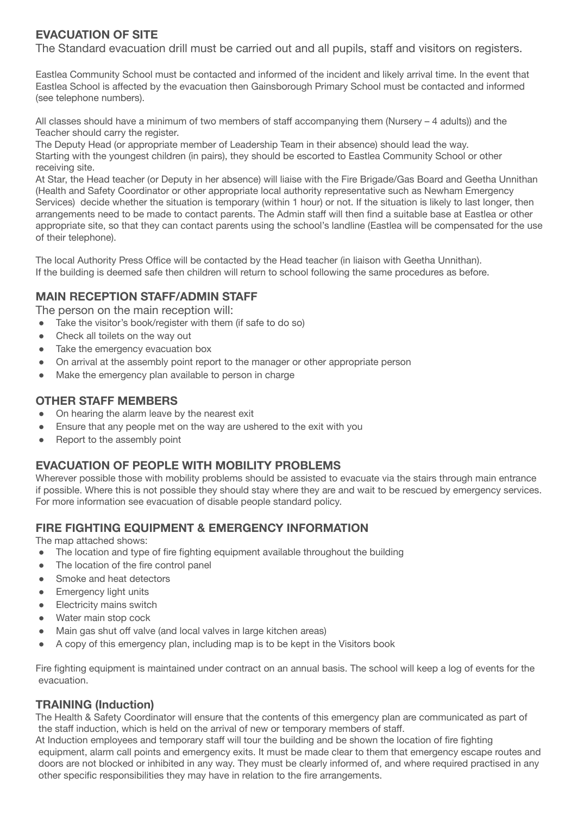#### **EVACUATION OF SITE**

The Standard evacuation drill must be carried out and all pupils, staff and visitors on registers.

Eastlea Community School must be contacted and informed of the incident and likely arrival time. In the event that Eastlea School is affected by the evacuation then Gainsborough Primary School must be contacted and informed (see telephone numbers).

All classes should have a minimum of two members of staff accompanying them (Nursery – 4 adults)) and the Teacher should carry the register.

The Deputy Head (or appropriate member of Leadership Team in their absence) should lead the way. Starting with the youngest children (in pairs), they should be escorted to Eastlea Community School or other receiving site.

At Star, the Head teacher (or Deputy in her absence) will liaise with the Fire Brigade/Gas Board and Geetha Unnithan (Health and Safety Coordinator or other appropriate local authority representative such as Newham Emergency Services) decide whether the situation is temporary (within 1 hour) or not. If the situation is likely to last longer, then arrangements need to be made to contact parents. The Admin staff will then find a suitable base at Eastlea or other appropriate site, so that they can contact parents using the school's landline (Eastlea will be compensated for the use of their telephone).

The local Authority Press Office will be contacted by the Head teacher (in liaison with Geetha Unnithan). If the building is deemed safe then children will return to school following the same procedures as before.

#### **MAIN RECEPTION STAFF/ADMIN STAFF**

The person on the main reception will:

- Take the visitor's book/register with them (if safe to do so)
- Check all toilets on the way out
- Take the emergency evacuation box
- On arrival at the assembly point report to the manager or other appropriate person
- Make the emergency plan available to person in charge

#### **OTHER STAFF MEMBERS**

- On hearing the alarm leave by the nearest exit
- Ensure that any people met on the way are ushered to the exit with you
- Report to the assembly point

#### **EVACUATION OF PEOPLE WITH MOBILITY PROBLEMS**

Wherever possible those with mobility problems should be assisted to evacuate via the stairs through main entrance if possible. Where this is not possible they should stay where they are and wait to be rescued by emergency services. For more information see evacuation of disable people standard policy.

#### **FIRE FIGHTING EQUIPMENT & EMERGENCY INFORMATION**

The map attached shows:

- The location and type of fire fighting equipment available throughout the building
- The location of the fire control panel
- Smoke and heat detectors
- **Emergency light units**
- Electricity mains switch
- Water main stop cock
- Main gas shut off valve (and local valves in large kitchen areas)
- A copy of this emergency plan, including map is to be kept in the Visitors book

Fire fighting equipment is maintained under contract on an annual basis. The school will keep a log of events for the evacuation.

#### **TRAINING (Induction)**

The Health & Safety Coordinator will ensure that the contents of this emergency plan are communicated as part of the staff induction, which is held on the arrival of new or temporary members of staff.

At Induction employees and temporary staff will tour the building and be shown the location of fire fighting equipment, alarm call points and emergency exits. It must be made clear to them that emergency escape routes and doors are not blocked or inhibited in any way. They must be clearly informed of, and where required practised in any other specific responsibilities they may have in relation to the fire arrangements.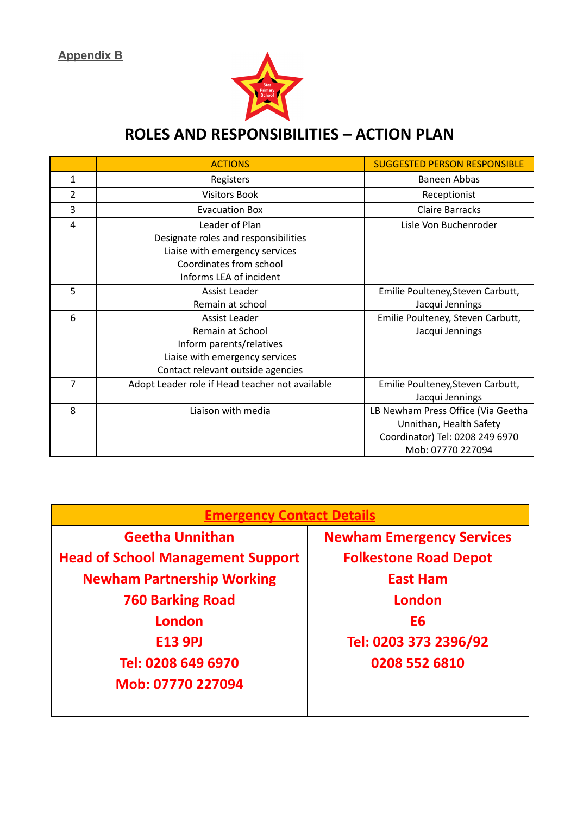**Appendix B**



### **ROLES AND RESPONSIBILITIES – ACTION PLAN**

|   | <b>ACTIONS</b>                                  | <b>SUGGESTED PERSON RESPONSIBLE</b> |
|---|-------------------------------------------------|-------------------------------------|
| 1 | Registers                                       | <b>Baneen Abbas</b>                 |
| 2 | <b>Visitors Book</b>                            | Receptionist                        |
| 3 | <b>Evacuation Box</b>                           | <b>Claire Barracks</b>              |
| 4 | Leader of Plan                                  | Lisle Von Buchenroder               |
|   | Designate roles and responsibilities            |                                     |
|   | Liaise with emergency services                  |                                     |
|   | Coordinates from school                         |                                     |
|   | Informs LEA of incident                         |                                     |
| 5 | Assist Leader                                   | Emilie Poulteney, Steven Carbutt,   |
|   | Remain at school                                | Jacqui Jennings                     |
| 6 | Assist Leader                                   | Emilie Poulteney, Steven Carbutt,   |
|   | Remain at School                                | Jacqui Jennings                     |
|   | Inform parents/relatives                        |                                     |
|   | Liaise with emergency services                  |                                     |
|   | Contact relevant outside agencies               |                                     |
| 7 | Adopt Leader role if Head teacher not available | Emilie Poulteney, Steven Carbutt,   |
|   |                                                 | Jacqui Jennings                     |
| 8 | Liaison with media                              | LB Newham Press Office (Via Geetha  |
|   |                                                 | Unnithan, Health Safety             |
|   |                                                 | Coordinator) Tel: 0208 249 6970     |
|   |                                                 | Mob: 07770 227094                   |

| <b>Emergency Contact Details</b>         |                                  |  |  |
|------------------------------------------|----------------------------------|--|--|
| <b>Geetha Unnithan</b>                   | <b>Newham Emergency Services</b> |  |  |
| <b>Head of School Management Support</b> | <b>Folkestone Road Depot</b>     |  |  |
| <b>Newham Partnership Working</b>        | <b>East Ham</b>                  |  |  |
| <b>760 Barking Road</b>                  | <b>London</b>                    |  |  |
| <b>London</b>                            | E6                               |  |  |
| <b>E13 9PJ</b>                           | Tel: 0203 373 2396/92            |  |  |
| Tel: 0208 649 6970                       | 0208 552 6810                    |  |  |
| Mob: 07770 227094                        |                                  |  |  |
|                                          |                                  |  |  |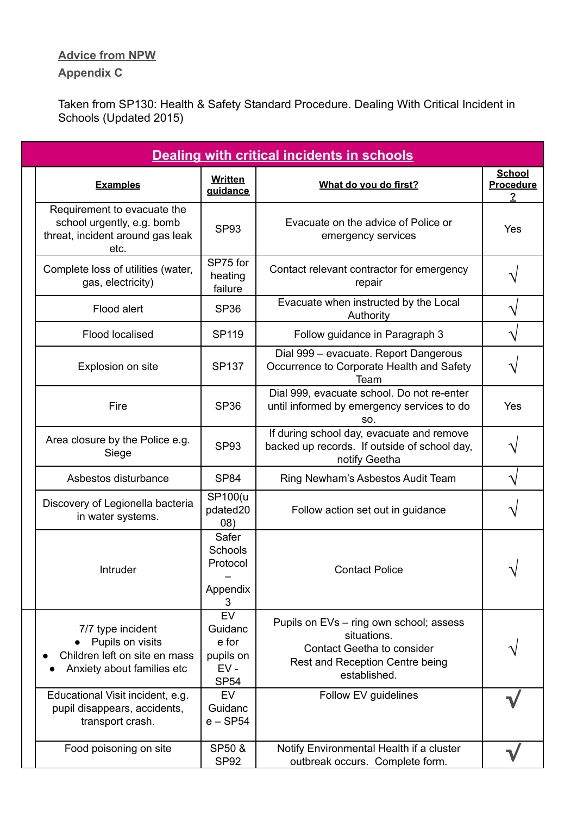#### **Advice from NPW**

#### **Appendix C**

Taken from SP130: Health & Safety Standard Procedure. Dealing With Critical Incident in Schools (Updated 2015)

| <b>Dealing with critical incidents in schools</b>                                                     |                                                                     |                                                                                                                                                |                                              |  |
|-------------------------------------------------------------------------------------------------------|---------------------------------------------------------------------|------------------------------------------------------------------------------------------------------------------------------------------------|----------------------------------------------|--|
| <b>Examples</b>                                                                                       | <b>Written</b><br>quidance                                          | What do you do first?                                                                                                                          | <b>School</b><br>Procedure<br>$\overline{2}$ |  |
| Requirement to evacuate the<br>school urgently, e.g. bomb<br>threat, incident around gas leak<br>etc. | <b>SP93</b>                                                         | Evacuate on the advice of Police or<br>emergency services                                                                                      | Yes                                          |  |
| Complete loss of utilities (water,<br>gas, electricity)                                               | SP75 for<br>heating<br>failure                                      | Contact relevant contractor for emergency<br>repair                                                                                            |                                              |  |
| Flood alert                                                                                           | SP <sub>36</sub>                                                    | Evacuate when instructed by the Local<br>Authority                                                                                             |                                              |  |
| <b>Flood localised</b>                                                                                | <b>SP119</b>                                                        | Follow guidance in Paragraph 3                                                                                                                 |                                              |  |
| Explosion on site                                                                                     | <b>SP137</b>                                                        | Dial 999 - evacuate. Report Dangerous<br>Occurrence to Corporate Health and Safety<br>Team                                                     |                                              |  |
| Fire                                                                                                  | <b>SP36</b>                                                         | Dial 999, evacuate school. Do not re-enter<br>until informed by emergency services to do<br>SO.                                                | Yes                                          |  |
| Area closure by the Police e.g.<br>Siege                                                              | <b>SP93</b>                                                         | If during school day, evacuate and remove<br>backed up records. If outside of school day,<br>notify Geetha                                     |                                              |  |
| Asbestos disturbance                                                                                  | <b>SP84</b>                                                         | Ring Newham's Asbestos Audit Team                                                                                                              |                                              |  |
| Discovery of Legionella bacteria<br>in water systems.                                                 | SP100(u<br>pdated20<br>(08)                                         | Follow action set out in guidance                                                                                                              |                                              |  |
| Intruder                                                                                              | Safer<br>Schools<br>Protocol<br>Appendix<br>3                       | <b>Contact Police</b>                                                                                                                          |                                              |  |
| 7/7 type incident<br>Pupils on visits<br>Children left on site en mass<br>Anxiety about families etc  | <b>EV</b><br>Guidanc<br>e for<br>pupils on<br>$EV -$<br><b>SP54</b> | Pupils on EVs - ring own school; assess<br>situations.<br><b>Contact Geetha to consider</b><br>Rest and Reception Centre being<br>established. |                                              |  |
| Educational Visit incident, e.g.<br>pupil disappears, accidents,<br>transport crash.                  | EV<br>Guidanc<br>$e$ – SP54                                         | Follow EV guidelines                                                                                                                           |                                              |  |
| Food poisoning on site                                                                                | SP50 &<br>SP <sub>92</sub>                                          | Notify Environmental Health if a cluster<br>outbreak occurs. Complete form.                                                                    |                                              |  |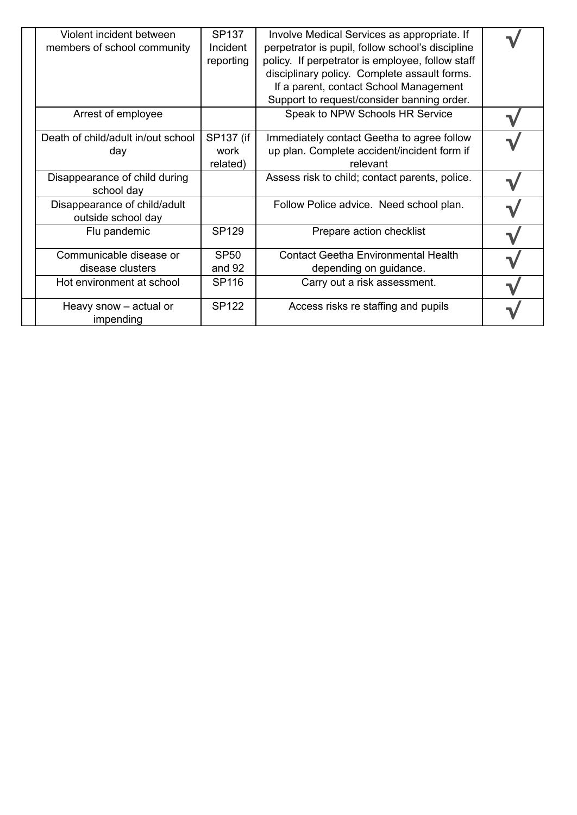| Violent incident between<br>members of school community | <b>SP137</b><br>Incident<br>reporting | Involve Medical Services as appropriate. If<br>perpetrator is pupil, follow school's discipline<br>policy. If perpetrator is employee, follow staff<br>disciplinary policy. Complete assault forms.<br>If a parent, contact School Management<br>Support to request/consider banning order. |  |
|---------------------------------------------------------|---------------------------------------|---------------------------------------------------------------------------------------------------------------------------------------------------------------------------------------------------------------------------------------------------------------------------------------------|--|
| Arrest of employee                                      |                                       | Speak to NPW Schools HR Service                                                                                                                                                                                                                                                             |  |
| Death of child/adult in/out school<br>day               | SP137 (if<br>work<br>related)         | Immediately contact Geetha to agree follow<br>up plan. Complete accident/incident form if<br>relevant                                                                                                                                                                                       |  |
| Disappearance of child during<br>school day             |                                       | Assess risk to child; contact parents, police.                                                                                                                                                                                                                                              |  |
| Disappearance of child/adult<br>outside school day      |                                       | Follow Police advice. Need school plan.                                                                                                                                                                                                                                                     |  |
| Flu pandemic                                            | <b>SP129</b>                          | Prepare action checklist                                                                                                                                                                                                                                                                    |  |
| Communicable disease or<br>disease clusters             | <b>SP50</b><br>and 92                 | <b>Contact Geetha Environmental Health</b><br>depending on guidance.                                                                                                                                                                                                                        |  |
| Hot environment at school                               | SP116                                 | Carry out a risk assessment.                                                                                                                                                                                                                                                                |  |
| Heavy snow – actual or<br>impending                     | <b>SP122</b>                          | Access risks re staffing and pupils                                                                                                                                                                                                                                                         |  |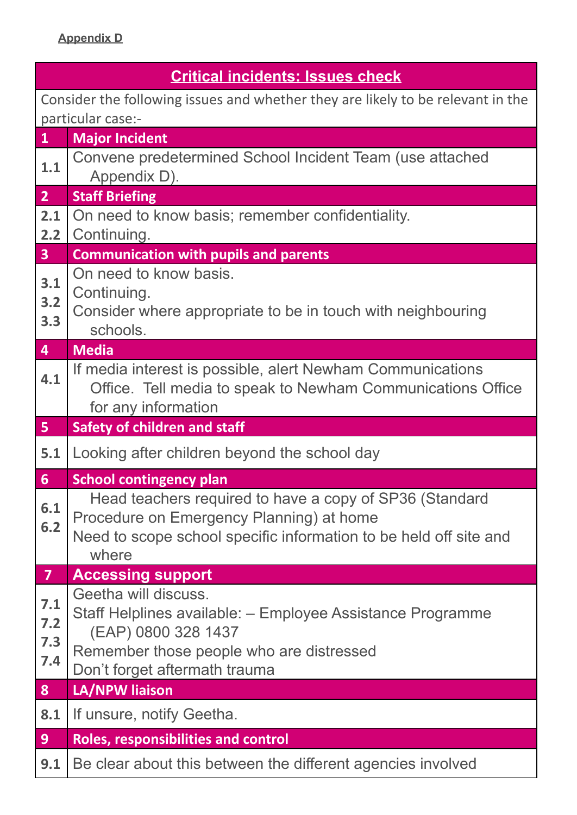| <b>Critical incidents: Issues check</b> |                                                                                 |  |  |  |
|-----------------------------------------|---------------------------------------------------------------------------------|--|--|--|
|                                         | Consider the following issues and whether they are likely to be relevant in the |  |  |  |
|                                         | particular case:-                                                               |  |  |  |
| $\mathbf{1}$                            | <b>Major Incident</b>                                                           |  |  |  |
| 1.1                                     | Convene predetermined School Incident Team (use attached<br>Appendix D).        |  |  |  |
| 2 <sup>1</sup>                          | <b>Staff Briefing</b>                                                           |  |  |  |
| 2.1                                     | On need to know basis; remember confidentiality.                                |  |  |  |
| 2.2                                     | Continuing.                                                                     |  |  |  |
| 3 <sup>1</sup>                          | <b>Communication with pupils and parents</b>                                    |  |  |  |
| 3.1                                     | On need to know basis.                                                          |  |  |  |
| 3.2                                     | Continuing.                                                                     |  |  |  |
| 3.3                                     | Consider where appropriate to be in touch with neighbouring<br>schools.         |  |  |  |
| $\overline{4}$                          | <b>Media</b>                                                                    |  |  |  |
|                                         | If media interest is possible, alert Newham Communications                      |  |  |  |
| 4.1                                     | Office. Tell media to speak to Newham Communications Office                     |  |  |  |
|                                         | for any information                                                             |  |  |  |
|                                         |                                                                                 |  |  |  |
|                                         | <b>Safety of children and staff</b>                                             |  |  |  |
|                                         | Looking after children beyond the school day                                    |  |  |  |
|                                         | <b>School contingency plan</b>                                                  |  |  |  |
|                                         | Head teachers required to have a copy of SP36 (Standard                         |  |  |  |
| 6.1<br>6.2                              | Procedure on Emergency Planning) at home                                        |  |  |  |
|                                         | Need to scope school specific information to be held off site and               |  |  |  |
|                                         | where                                                                           |  |  |  |
| $\overline{7}$                          | <b>Accessing support</b>                                                        |  |  |  |
| 7.1                                     | Geetha will discuss.                                                            |  |  |  |
| $7.2$                                   | Staff Helplines available: - Employee Assistance Programme                      |  |  |  |
| 7.3                                     | (EAP) 0800 328 1437<br>Remember those people who are distressed                 |  |  |  |
| 7.4                                     | Don't forget aftermath trauma                                                   |  |  |  |
| 5 <sub>1</sub><br>5.1<br>6<br>8         | LA/NPW liaison                                                                  |  |  |  |
| 8.1                                     | If unsure, notify Geetha.                                                       |  |  |  |
| 9 <sup>°</sup>                          | <b>Roles, responsibilities and control</b>                                      |  |  |  |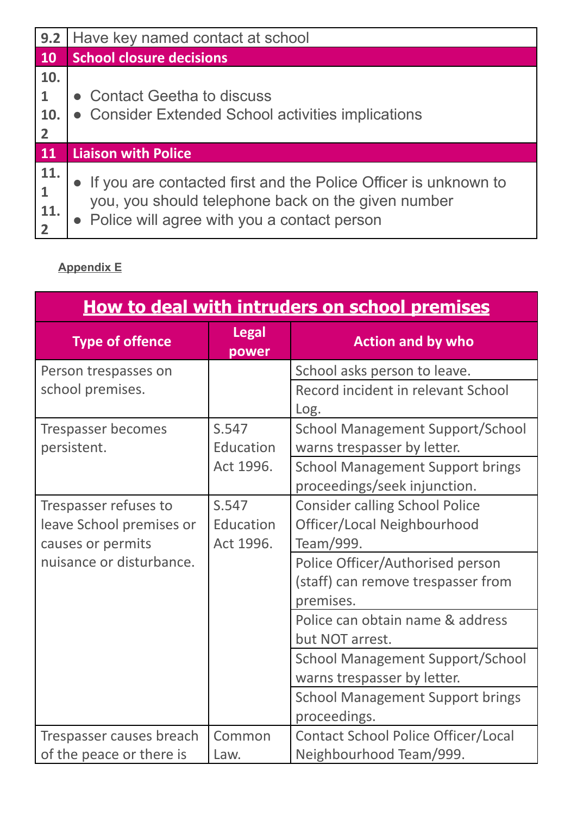| 9.2                                          | Have key named contact at school                                                                                                                                       |
|----------------------------------------------|------------------------------------------------------------------------------------------------------------------------------------------------------------------------|
| <b>10</b>                                    | <b>School closure decisions</b>                                                                                                                                        |
| 10.<br>$\mathbf{1}$<br>10.<br>$\overline{2}$ | • Contact Geetha to discuss<br>• Consider Extended School activities implications                                                                                      |
| <b>11</b>                                    | <b>Liaison with Police</b>                                                                                                                                             |
| 11.<br>$\mathbf{1}$<br>11.                   | If you are contacted first and the Police Officer is unknown to<br>you, you should telephone back on the given number<br>• Police will agree with you a contact person |

### **Appendix E**

| How to deal with intruders on school premises |                       |                                                                         |  |
|-----------------------------------------------|-----------------------|-------------------------------------------------------------------------|--|
| <b>Type of offence</b>                        | <b>Legal</b><br>power | <b>Action and by who</b>                                                |  |
| Person trespasses on                          |                       | School asks person to leave.                                            |  |
| school premises.                              |                       | Record incident in relevant School<br>Log.                              |  |
| Trespasser becomes<br>persistent.             | S.547<br>Education    | <b>School Management Support/School</b><br>warns trespasser by letter.  |  |
|                                               | Act 1996.             | <b>School Management Support brings</b><br>proceedings/seek injunction. |  |
| Trespasser refuses to                         | S.547                 | <b>Consider calling School Police</b>                                   |  |
| leave School premises or                      | Education             | Officer/Local Neighbourhood                                             |  |
| causes or permits                             | Act 1996.             | Team/999.                                                               |  |
| nuisance or disturbance.                      |                       | Police Officer/Authorised person                                        |  |
|                                               |                       | (staff) can remove trespasser from                                      |  |
|                                               |                       | premises.                                                               |  |
|                                               |                       | Police can obtain name & address                                        |  |
|                                               |                       | but NOT arrest.                                                         |  |
|                                               |                       | <b>School Management Support/School</b>                                 |  |
|                                               |                       | warns trespasser by letter.                                             |  |
|                                               |                       | <b>School Management Support brings</b>                                 |  |
|                                               |                       | proceedings.                                                            |  |
| Trespasser causes breach                      | Common                | <b>Contact School Police Officer/Local</b>                              |  |
| of the peace or there is                      | Law.                  | Neighbourhood Team/999.                                                 |  |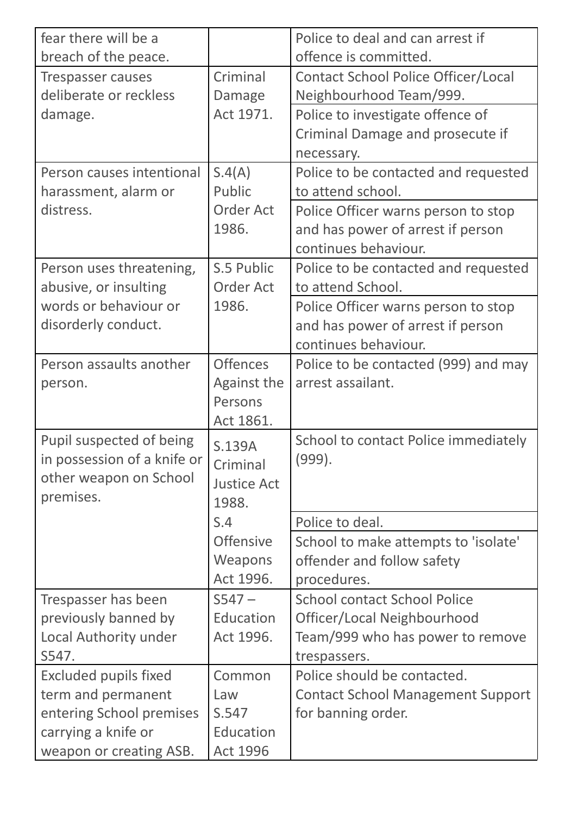| fear there will be a         |                    | Police to deal and can arrest if           |
|------------------------------|--------------------|--------------------------------------------|
| breach of the peace.         |                    | offence is committed.                      |
| <b>Trespasser causes</b>     | Criminal           | <b>Contact School Police Officer/Local</b> |
| deliberate or reckless       | Damage             | Neighbourhood Team/999.                    |
| damage.                      | Act 1971.          | Police to investigate offence of           |
|                              |                    | Criminal Damage and prosecute if           |
|                              |                    | necessary.                                 |
| Person causes intentional    | S.4(A)             | Police to be contacted and requested       |
| harassment, alarm or         | Public             | to attend school.                          |
| distress.                    | <b>Order Act</b>   | Police Officer warns person to stop        |
|                              | 1986.              | and has power of arrest if person          |
|                              |                    | continues behaviour.                       |
| Person uses threatening,     | S.5 Public         | Police to be contacted and requested       |
| abusive, or insulting        | <b>Order Act</b>   | to attend School.                          |
| words or behaviour or        | 1986.              | Police Officer warns person to stop        |
| disorderly conduct.          |                    | and has power of arrest if person          |
|                              |                    | continues behaviour.                       |
| Person assaults another      | <b>Offences</b>    | Police to be contacted (999) and may       |
| person.                      | <b>Against the</b> | arrest assailant.                          |
|                              | Persons            |                                            |
|                              | Act 1861.          |                                            |
| Pupil suspected of being     | S.139A             | School to contact Police immediately       |
| in possession of a knife or  | Criminal           | (999).                                     |
| other weapon on School       | <b>Justice Act</b> |                                            |
| premises.                    | 1988.              |                                            |
|                              | S.4                | Police to deal.                            |
|                              | <b>Offensive</b>   | School to make attempts to 'isolate'       |
|                              | Weapons            | offender and follow safety                 |
|                              | Act 1996.          | procedures.                                |
| Trespasser has been          | $S547 -$           | <b>School contact School Police</b>        |
| previously banned by         | Education          | Officer/Local Neighbourhood                |
| Local Authority under        | Act 1996.          | Team/999 who has power to remove           |
| S547.                        |                    | trespassers.                               |
| <b>Excluded pupils fixed</b> | Common             | Police should be contacted.                |
| term and permanent           | Law                | <b>Contact School Management Support</b>   |
| entering School premises     | S.547              | for banning order.                         |
| carrying a knife or          | Education          |                                            |
| weapon or creating ASB.      | <b>Act 1996</b>    |                                            |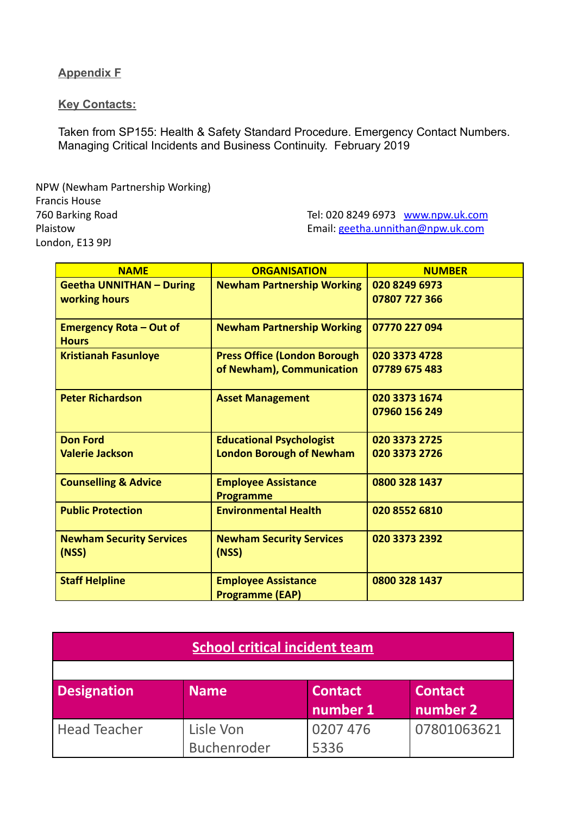**Appendix F**

**Key Contacts:**

Taken from SP155: Health & Safety Standard Procedure. Emergency Contact Numbers. Managing Critical Incidents and Business Continuity. February 2019

NPW (Newham Partnership Working) Francis House 760 Barking Road Plaistow London, E13 9PJ

Tel: 020 8249 6973 [www.npw.uk.com](http://www.npw.uk.com) Email: [geetha.unnithan@npw.uk.com](mailto:geetha.unnithan@npw.uk.com)

| <b>NAME</b>                                      | <b>ORGANISATION</b>                                                | <b>NUMBER</b>                  |
|--------------------------------------------------|--------------------------------------------------------------------|--------------------------------|
| <b>Geetha UNNITHAN - During</b><br>working hours | <b>Newham Partnership Working</b>                                  | 020 8249 6973<br>07807 727 366 |
| <b>Emergency Rota - Out of</b><br><b>Hours</b>   | <b>Newham Partnership Working</b>                                  | 07770 227 094                  |
| <b>Kristianah Fasunloye</b>                      | <b>Press Office (London Borough)</b><br>of Newham), Communication  | 020 3373 4728<br>07789 675 483 |
| <b>Peter Richardson</b>                          | <b>Asset Management</b>                                            | 020 3373 1674<br>07960 156 249 |
| <b>Don Ford</b><br><b>Valerie Jackson</b>        | <b>Educational Psychologist</b><br><b>London Borough of Newham</b> | 020 3373 2725<br>020 3373 2726 |
| <b>Counselling &amp; Advice</b>                  | <b>Employee Assistance</b><br><b>Programme</b>                     | 0800 328 1437                  |
| <b>Public Protection</b>                         | <b>Environmental Health</b>                                        | 020 8552 6810                  |
| <b>Newham Security Services</b><br>(NSS)         | <b>Newham Security Services</b><br>(NSS)                           | 020 3373 2392                  |
| <b>Staff Helpline</b>                            | <b>Employee Assistance</b><br><b>Programme (EAP)</b>               | 0800 328 1437                  |

| <b>School critical incident team</b> |             |                |                |  |  |
|--------------------------------------|-------------|----------------|----------------|--|--|
|                                      |             |                |                |  |  |
| <b>Designation</b>                   | <b>Name</b> | <b>Contact</b> | <b>Contact</b> |  |  |
|                                      |             | number 1       | number 2       |  |  |
| <b>Head Teacher</b>                  | Lisle Von   | 0207 476       | 07801063621    |  |  |
|                                      | Buchenroder | 5336           |                |  |  |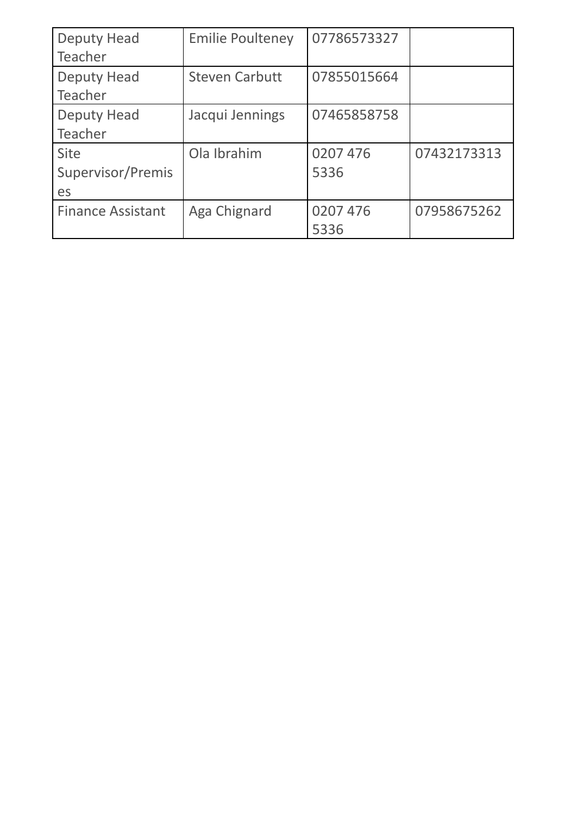| <b>Deputy Head</b>       | <b>Emilie Poulteney</b> | 07786573327 |             |
|--------------------------|-------------------------|-------------|-------------|
| Teacher                  |                         |             |             |
| <b>Deputy Head</b>       | <b>Steven Carbutt</b>   | 07855015664 |             |
| Teacher                  |                         |             |             |
| <b>Deputy Head</b>       | Jacqui Jennings         | 07465858758 |             |
| Teacher                  |                         |             |             |
| <b>Site</b>              | Ola Ibrahim             | 0207 476    | 07432173313 |
| Supervisor/Premis        |                         | 5336        |             |
| es                       |                         |             |             |
| <b>Finance Assistant</b> | Aga Chignard            | 0207 476    | 07958675262 |
|                          |                         | 5336        |             |